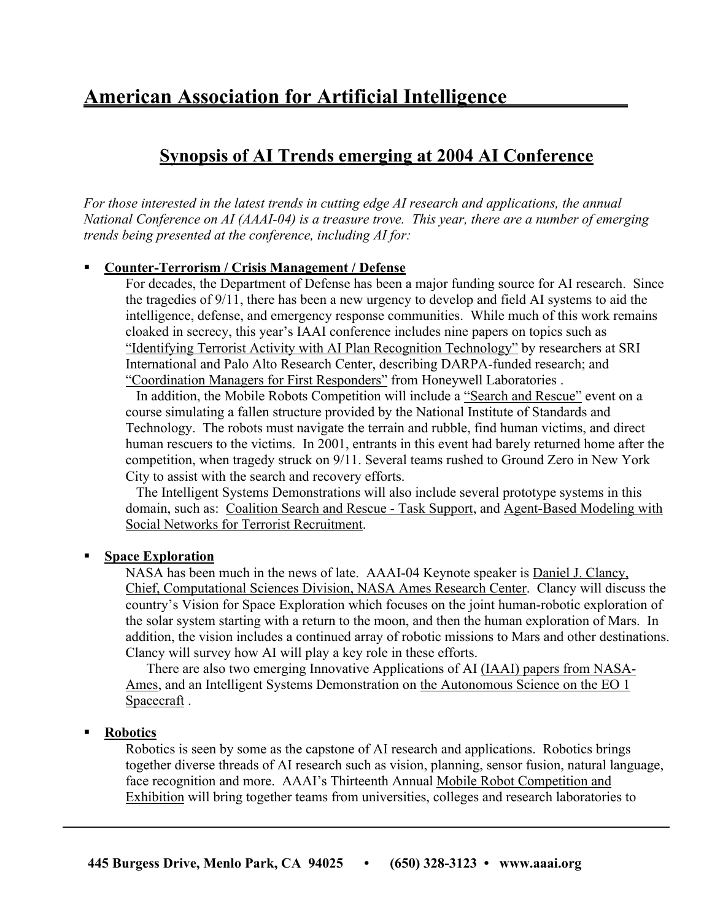# **American Association for Artificial Intelligence**

# **Synopsis of AI Trends emerging at 2004 AI Conference**

*For those interested in the latest trends in cutting edge AI research and applications, the annual National Conference on AI (AAAI-04) is a treasure trove. This year, there are a number of emerging trends being presented at the conference, including AI for:*

# **Counter-Terrorism / Crisis Management / Defense**

For decades, the Department of Defense has been a major funding source for AI research. Since the tragedies of 9/11, there has been a new urgency to develop and field AI systems to aid the intelligence, defense, and emergency response communities. While much of this work remains cloaked in secrecy, this year's IAAI conference includes nine papers on topics such as "Identifying Terrorist Activity with AI Plan Recognition Technology" by researchers at SRI International and Palo Alto Research Center, describing DARPA-funded research; and "Coordination Managers for First Responders" from Honeywell Laboratories .

In addition, the Mobile Robots Competition will include a "Search and Rescue" event on a course simulating a fallen structure provided by the National Institute of Standards and Technology. The robots must navigate the terrain and rubble, find human victims, and direct human rescuers to the victims. In 2001, entrants in this event had barely returned home after the competition, when tragedy struck on 9/11. Several teams rushed to Ground Zero in New York City to assist with the search and recovery efforts.

The Intelligent Systems Demonstrations will also include several prototype systems in this domain, such as: Coalition Search and Rescue - Task Support, and Agent-Based Modeling with Social Networks for Terrorist Recruitment.

# **Space Exploration**

NASA has been much in the news of late. AAAI-04 Keynote speaker is Daniel J. Clancy, Chief, Computational Sciences Division, NASA Ames Research Center. Clancy will discuss the country's Vision for Space Exploration which focuses on the joint human-robotic exploration of the solar system starting with a return to the moon, and then the human exploration of Mars. In addition, the vision includes a continued array of robotic missions to Mars and other destinations. Clancy will survey how AI will play a key role in these efforts.

There are also two emerging Innovative Applications of AI (IAAI) papers from NASA-Ames, and an Intelligent Systems Demonstration on the Autonomous Science on the EO 1 Spacecraft .

# **Robotics**

Robotics is seen by some as the capstone of AI research and applications. Robotics brings together diverse threads of AI research such as vision, planning, sensor fusion, natural language, face recognition and more. AAAI's Thirteenth Annual Mobile Robot Competition and Exhibition will bring together teams from universities, colleges and research laboratories to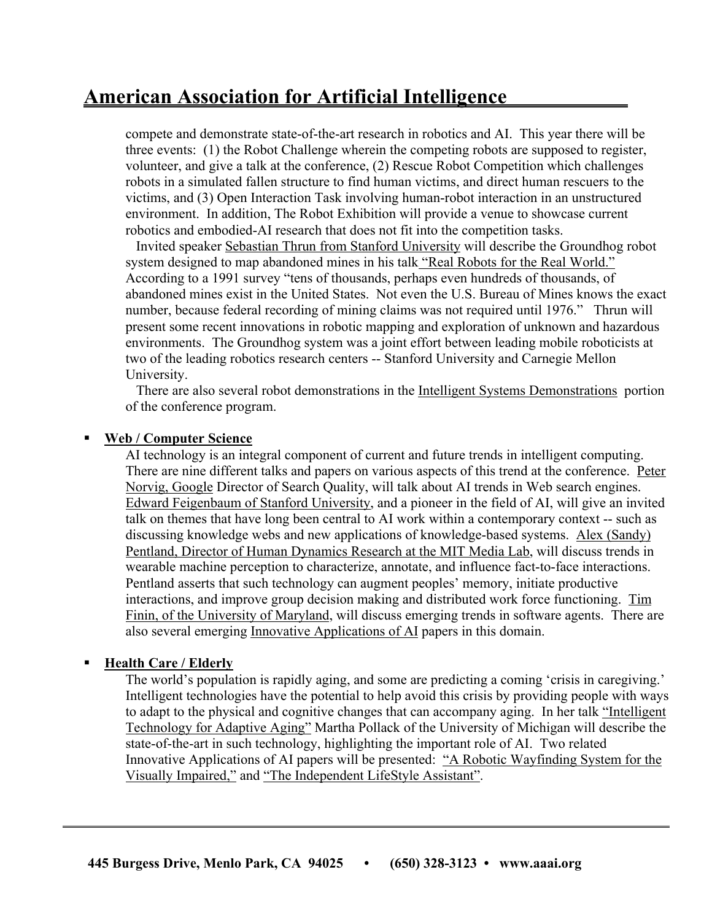# **American Association for Artificial Intelligence**

compete and demonstrate state-of-the-art research in robotics and AI. This year there will be three events: (1) the Robot Challenge wherein the competing robots are supposed to register, volunteer, and give a talk at the conference, (2) Rescue Robot Competition which challenges robots in a simulated fallen structure to find human victims, and direct human rescuers to the victims, and (3) Open Interaction Task involving human-robot interaction in an unstructured environment. In addition, The Robot Exhibition will provide a venue to showcase current robotics and embodied-AI research that does not fit into the competition tasks.

 Invited speaker Sebastian Thrun from Stanford University will describe the Groundhog robot system designed to map abandoned mines in his talk "Real Robots for the Real World." According to a 1991 survey "tens of thousands, perhaps even hundreds of thousands, of abandoned mines exist in the United States. Not even the U.S. Bureau of Mines knows the exact number, because federal recording of mining claims was not required until 1976." Thrun will present some recent innovations in robotic mapping and exploration of unknown and hazardous environments. The Groundhog system was a joint effort between leading mobile roboticists at two of the leading robotics research centers -- Stanford University and Carnegie Mellon University.

There are also several robot demonstrations in the Intelligent Systems Demonstrations portion of the conference program.

#### **Web / Computer Science**

AI technology is an integral component of current and future trends in intelligent computing. There are nine different talks and papers on various aspects of this trend at the conference. Peter Norvig, Google Director of Search Quality, will talk about AI trends in Web search engines. Edward Feigenbaum of Stanford University, and a pioneer in the field of AI, will give an invited talk on themes that have long been central to AI work within a contemporary context -- such as discussing knowledge webs and new applications of knowledge-based systems. Alex (Sandy) Pentland, Director of Human Dynamics Research at the MIT Media Lab, will discuss trends in wearable machine perception to characterize, annotate, and influence fact-to-face interactions. Pentland asserts that such technology can augment peoples' memory, initiate productive interactions, and improve group decision making and distributed work force functioning. Tim Finin, of the University of Maryland, will discuss emerging trends in software agents. There are also several emerging Innovative Applications of AI papers in this domain.

# **Health Care / Elderly**

The world's population is rapidly aging, and some are predicting a coming 'crisis in caregiving.' Intelligent technologies have the potential to help avoid this crisis by providing people with ways to adapt to the physical and cognitive changes that can accompany aging. In her talk "Intelligent Technology for Adaptive Aging" Martha Pollack of the University of Michigan will describe the state-of-the-art in such technology, highlighting the important role of AI. Two related Innovative Applications of AI papers will be presented: "A Robotic Wayfinding System for the Visually Impaired," and "The Independent LifeStyle Assistant".